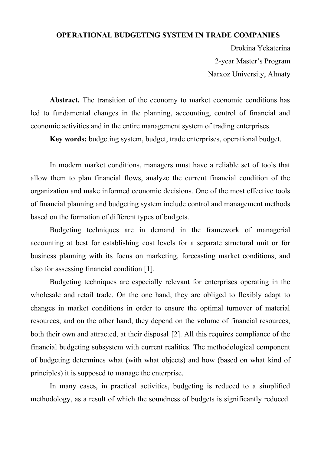## **OPERATIONAL BUDGETING SYSTEM IN TRADE COMPANIES**

Drokina Yekaterina 2-year Master's Program Narxoz University, Almaty

Abstract. The transition of the economy to market economic conditions has led to fundamental changes in the planning, accounting, control of financial and economic activities and in the entire management system of trading enterprises.

**Key words:** budgeting system, budget, trade enterprises, operational budget.

In modern market conditions, managers must have a reliable set of tools that allow them to plan financial flows, analyze the current financial condition of the organization and make informed economic decisions. One of the most effective tools of financial planning and budgeting system include control and management methods based on the formation of different types of budgets.

Budgeting techniques are in demand in the framework of managerial accounting at best for establishing cost levels for a separate structural unit or for business planning with its focus on marketing, forecasting market conditions, and also for assessing financial condition [1].

Budgeting techniques are especially relevant for enterprises operating in the wholesale and retail trade. On the one hand, they are obliged to flexibly adapt to changes in market conditions in order to ensure the optimal turnover of material resources, and on the other hand, they depend on the volume of financial resources, both their own and attracted, at their disposal [2]. All this requires compliance of the financial budgeting subsystem with current realities. The methodological component of budgeting determines what (with what objects) and how (based on what kind of principles) it is supposed to manage the enterprise.

In many cases, in practical activities, budgeting is reduced to a simplified methodology, as a result of which the soundness of budgets is significantly reduced.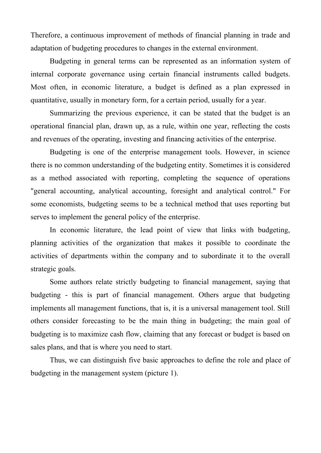Therefore, a continuous improvement of methods of financial planning in trade and adaptation of budgeting procedures to changes in the external environment.

Budgeting in general terms can be represented as an information system of internal corporate governance using certain financial instruments called budgets. Most often, in economic literature, a budget is defined as a plan expressed in quantitative, usually in monetary form, for a certain period, usually for a year.

Summarizing the previous experience, it can be stated that the budget is an operational financial plan, drawn up, as a rule, within one year, reflecting the costs and revenues of the operating, investing and financing activities of the enterprise.

Budgeting is one of the enterprise management tools. However, in science there is no common understanding of the budgeting entity. Sometimes it is considered as a method associated with reporting, completing the sequence of operations "general accounting, analytical accounting, foresight and analytical control." For some economists, budgeting seems to be a technical method that uses reporting but serves to implement the general policy of the enterprise.

In economic literature, the lead point of view that links with budgeting, planning activities of the organization that makes it possible to coordinate the activities of departments within the company and to subordinate it to the overall strategic goals.

Some authors relate strictly budgeting to financial management, saying that budgeting - this is part of financial management. Others argue that budgeting implements all management functions, that is, it is a universal management tool. Still others consider forecasting to be the main thing in budgeting; the main goal of budgeting is to maximize cash flow, claiming that any forecast or budget is based on sales plans, and that is where you need to start.

Thus, we can distinguish five basic approaches to define the role and place of budgeting in the management system (picture 1).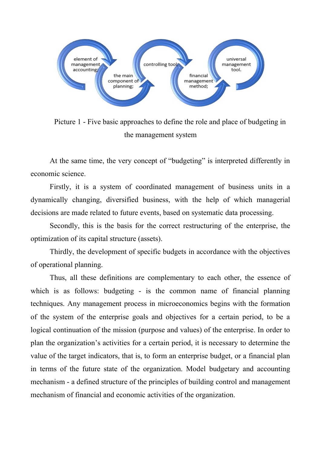

Picture 1 - Five basic approaches to define the role and place of budgeting in the management system

At the same time, the very concept of "budgeting" is interpreted differently in economic science.

Firstly, it is a system of coordinated management of business units in a dynamically changing, diversified business, with the help of which managerial decisions are made related to future events, based on systematic data processing.

Secondly, this is the basis for the correct restructuring of the enterprise, the optimization of its capital structure (assets).

Thirdly, the development of specific budgets in accordance with the objectives of operational planning.

Thus, all these definitions are complementary to each other, the essence of which is as follows: budgeting - is the common name of financial planning techniques. Any management process in microeconomics begins with the formation of the system of the enterprise goals and objectives for a certain period, to be a logical continuation of the mission (purpose and values) of the enterprise. In order to plan the organization's activities for a certain period, it is necessary to determine the value of the target indicators, that is, to form an enterprise budget, or a financial plan in terms of the future state of the organization. Model budgetary and accounting mechanism - a defined structure of the principles of building control and management mechanism of financial and economic activities of the organization.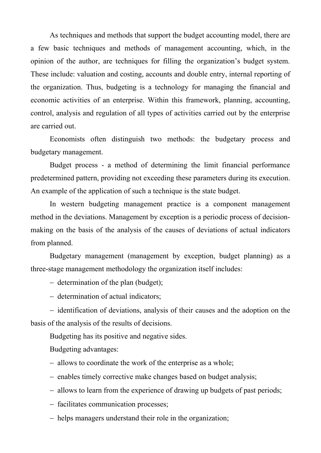As techniques and methods that support the budget accounting model, there are a few basic techniques and methods of management accounting, which, in the opinion of the author, are techniques for filling the organization's budget system. These include: valuation and costing, accounts and double entry, internal reporting of the organization. Thus, budgeting is a technology for managing the financial and economic activities of an enterprise. Within this framework, planning, accounting, control, analysis and regulation of all types of activities carried out by the enterprise are carried out.

Economists often distinguish two methods: the budgetary process and budgetary management.

Budget process - a method of determining the limit financial performance predetermined pattern, providing not exceeding these parameters during its execution. An example of the application of such a technique is the state budget.

In western budgeting management practice is a component management method in the deviations. Management by exception is a periodic process of decisionmaking on the basis of the analysis of the causes of deviations of actual indicators from planned.

Budgetary management (management by exception, budget planning) as a three-stage management methodology the organization itself includes:

- $-$  determination of the plan (budget);
- determination of actual indicators;

- identification of deviations, analysis of their causes and the adoption on the basis of the analysis of the results of decisions.

Budgeting has its positive and negative sides.

Budgeting advantages:

- allows to coordinate the work of the enterprise as a whole;
- enables timely corrective make changes based on budget analysis;
- allows to learn from the experience of drawing up budgets of past periods;
- facilitates communication processes;
- helps managers understand their role in the organization;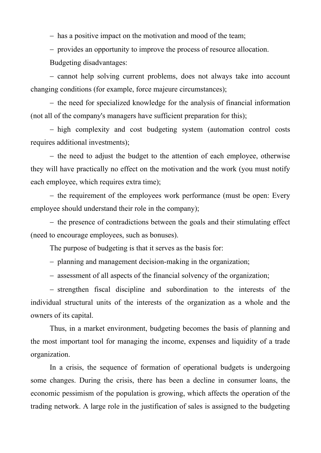- has a positive impact on the motivation and mood of the team;

provides an opportunity to improve the process of resource allocation.

Budgeting disadvantages:

- cannot help solving current problems, does not always take into account changing conditions (for example, force majeure circumstances);

 $-$  the need for specialized knowledge for the analysis of financial information (not all of the company's managers have sufficient preparation for this);

- high complexity and cost budgeting system (automation control costs requires additional investments);

- the need to adjust the budget to the attention of each employee, otherwise they will have practically no effect on the motivation and the work (you must notify each employee, which requires extra time);

- the requirement of the employees work performance (must be open: Every employee should understand their role in the company);

 $-$  the presence of contradictions between the goals and their stimulating effect (need to encourage employees, such as bonuses).

The purpose of budgeting is that it serves as the basis for:

planning and management decision-making in the organization;

assessment of all aspects of the financial solvency of the organization;

- strengthen fiscal discipline and subordination to the interests of the individual structural units of the interests of the organization as a whole and the owners of its capital.

Thus, in a market environment, budgeting becomes the basis of planning and the most important tool for managing the income, expenses and liquidity of a trade organization.

In a crisis, the sequence of formation of operational budgets is undergoing some changes. During the crisis, there has been a decline in consumer loans, the economic pessimism of the population is growing, which affects the operation of the trading network. A large role in the justification of sales is assigned to the budgeting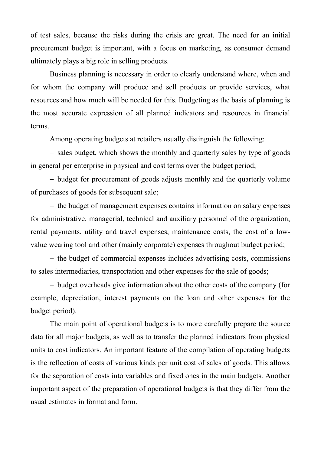of test sales, because the risks during the crisis are great. The need for an initial procurement budget is important, with a focus on marketing, as consumer demand ultimately plays a big role in selling products.

Business planning is necessary in order to clearly understand where, when and for whom the company will produce and sell products or provide services, what resources and how much will be needed for this. Budgeting as the basis of planning is the most accurate expression of all planned indicators and resources in financial terms.

Among operating budgets at retailers usually distinguish the following:

- sales budget, which shows the monthly and quarterly sales by type of goods in general per enterprise in physical and cost terms over the budget period;

- budget for procurement of goods adjusts monthly and the quarterly volume of purchases of goods for subsequent sale;

- the budget of management expenses contains information on salary expenses for administrative, managerial, technical and auxiliary personnel of the organization, rental payments, utility and travel expenses, maintenance costs, the cost of a lowvalue wearing tool and other (mainly corporate) expenses throughout budget period;

- the budget of commercial expenses includes advertising costs, commissions to sales intermediaries, transportation and other expenses for the sale of goods;

- budget overheads give information about the other costs of the company (for example, depreciation, interest payments on the loan and other expenses for the budget period).

The main point of operational budgets is to more carefully prepare the source data for all major budgets, as well as to transfer the planned indicators from physical units to cost indicators. An important feature of the compilation of operating budgets is the reflection of costs of various kinds per unit cost of sales of goods. This allows for the separation of costs into variables and fixed ones in the main budgets. Another important aspect of the preparation of operational budgets is that they differ from the usual estimates in format and form.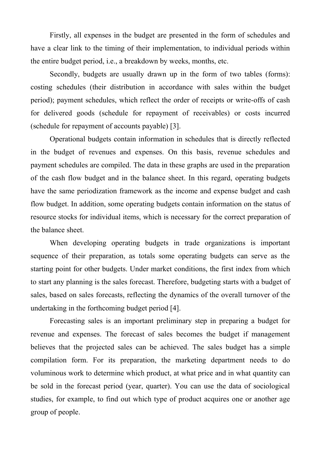Firstly, all expenses in the budget are presented in the form of schedules and have a clear link to the timing of their implementation, to individual periods within the entire budget period, i.e., a breakdown by weeks, months, etc.

Secondly, budgets are usually drawn up in the form of two tables (forms): costing schedules (their distribution in accordance with sales within the budget period); payment schedules, which reflect the order of receipts or write-offs of cash for delivered goods (schedule for repayment of receivables) or costs incurred (schedule for repayment of accounts payable) [3].

Operational budgets contain information in schedules that is directly reflected in the budget of revenues and expenses. On this basis, revenue schedules and payment schedules are compiled. The data in these graphs are used in the preparation of the cash flow budget and in the balance sheet. In this regard, operating budgets have the same periodization framework as the income and expense budget and cash flow budget. In addition, some operating budgets contain information on the status of resource stocks for individual items, which is necessary for the correct preparation of the balance sheet.

When developing operating budgets in trade organizations is important sequence of their preparation, as totals some operating budgets can serve as the starting point for other budgets. Under market conditions, the first index from which to start any planning is the sales forecast. Therefore, budgeting starts with a budget of sales, based on sales forecasts, reflecting the dynamics of the overall turnover of the undertaking in the forthcoming budget period [4].

Forecasting sales is an important preliminary step in preparing a budget for revenue and expenses. The forecast of sales becomes the budget if management believes that the projected sales can be achieved. The sales budget has a simple compilation form. For its preparation, the marketing department needs to do voluminous work to determine which product, at what price and in what quantity can be sold in the forecast period (year, quarter). You can use the data of sociological studies, for example, to find out which type of product acquires one or another age group of people.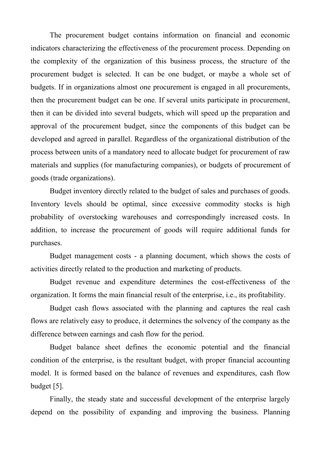The procurement budget contains information on financial and economic indicators characterizing the effectiveness of the procurement process. Depending on the complexity of the organization of this business process, the structure of the procurement budget is selected. It can be one budget, or maybe a whole set of budgets. If in organizations almost one procurement is engaged in all procurements, then the procurement budget can be one. If several units participate in procurement, then it can be divided into several budgets, which will speed up the preparation and approval of the procurement budget, since the components of this budget can be developed and agreed in parallel. Regardless of the organizational distribution of the process between units of a mandatory need to allocate budget for procurement of raw materials and supplies (for manufacturing companies), or budgets of procurement of goods (trade organizations).

Budget inventory directly related to the budget of sales and purchases of goods. Inventory levels should be optimal, since excessive commodity stocks is high probability of overstocking warehouses and correspondingly increased costs. In addition, to increase the procurement of goods will require additional funds for purchases.

Budget management costs - a planning document, which shows the costs of activities directly related to the production and marketing of products.

Budget revenue and expenditure determines the cost-effectiveness of the organization. It forms the main financial result of the enterprise, i.e., its profitability.

Budget cash flows associated with the planning and captures the real cash flows are relatively easy to produce, it determines the solvency of the company as the difference between earnings and cash flow for the period.

Budget balance sheet defines the economic potential and the financial condition of the enterprise, is the resultant budget, with proper financial accounting model. It is formed based on the balance of revenues and expenditures, cash flow budget [5].

Finally, the steady state and successful development of the enterprise largely depend on the possibility of expanding and improving the business. Planning